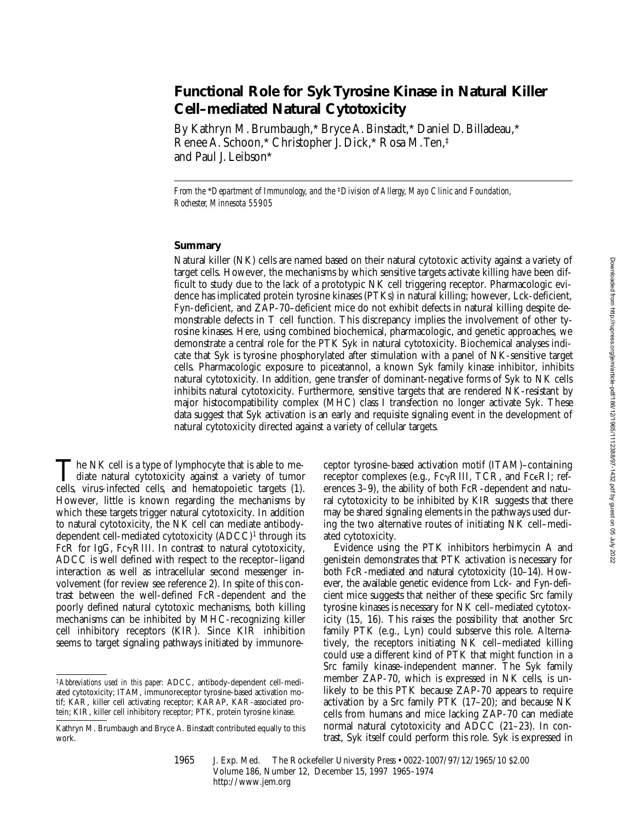# **Functional Role for Syk Tyrosine Kinase in Natural Killer Cell–mediated Natural Cytotoxicity**

By Kathryn M. Brumbaugh,\* Bryce A. Binstadt,\* Daniel D. Billadeau,\* Renee A. Schoon,\* Christopher J. Dick,\* Rosa M. Ten,‡ and Paul J. Leibson\*

*From the* \**Department of Immunology, and the* ‡*Division of Allergy, Mayo Clinic and Foundation, Rochester, Minnesota 55905*

## **Summary**

Natural killer (NK) cells are named based on their natural cytotoxic activity against a variety of target cells. However, the mechanisms by which sensitive targets activate killing have been difficult to study due to the lack of a prototypic NK cell triggering receptor. Pharmacologic evidence has implicated protein tyrosine kinases (PTKs) in natural killing; however, Lck-deficient, Fyn-deficient, and ZAP-70–deficient mice do not exhibit defects in natural killing despite demonstrable defects in T cell function. This discrepancy implies the involvement of other tyrosine kinases. Here, using combined biochemical, pharmacologic, and genetic approaches, we demonstrate a central role for the PTK Syk in natural cytotoxicity. Biochemical analyses indicate that Syk is tyrosine phosphorylated after stimulation with a panel of NK-sensitive target cells. Pharmacologic exposure to piceatannol, a known Syk family kinase inhibitor, inhibits natural cytotoxicity. In addition, gene transfer of dominant-negative forms of Syk to NK cells inhibits natural cytotoxicity. Furthermore, sensitive targets that are rendered NK-resistant by major histocompatibility complex (MHC) class I transfection no longer activate Syk. These data suggest that Syk activation is an early and requisite signaling event in the development of natural cytotoxicity directed against a variety of cellular targets.

The NK cell is a type of lymphocyte that is able to mediate natural cytotoxicity against a variety of tumor cells, wing infected cells, and hometopoistic targets (1) cells, virus-infected cells, and hematopoietic targets (1). However, little is known regarding the mechanisms by which these targets trigger natural cytotoxicity. In addition to natural cytotoxicity, the NK cell can mediate antibodydependent cell-mediated cytotoxicity (ADCC)<sup>1</sup> through its FcR for IgG, Fc $\gamma$ RIII. In contrast to natural cytotoxicity, ADCC is well defined with respect to the receptor–ligand interaction as well as intracellular second messenger involvement (for review see reference 2). In spite of this contrast between the well-defined FcR-dependent and the poorly defined natural cytotoxic mechanisms, both killing mechanisms can be inhibited by MHC-recognizing killer cell inhibitory receptors (KIR). Since KIR inhibition seems to target signaling pathways initiated by immunore-

ceptor tyrosine-based activation motif (ITAM)–containing receptor complexes (e.g.,  $Fc\gamma RIII$ , TCR, and  $Fc\epsilon RI$ ; references 3–9), the ability of both FcR-dependent and natural cytotoxicity to be inhibited by KIR suggests that there may be shared signaling elements in the pathways used during the two alternative routes of initiating NK cell–mediated cytotoxicity.

Evidence using the PTK inhibitors herbimycin A and genistein demonstrates that PTK activation is necessary for both FcR-mediated and natural cytotoxicity (10–14). However, the available genetic evidence from Lck- and Fyn-deficient mice suggests that neither of these specific Src family tyrosine kinases is necessary for NK cell–mediated cytotoxicity (15, 16). This raises the possibility that another Src family PTK (e.g., Lyn) could subserve this role. Alternatively, the receptors initiating NK cell–mediated killing could use a different kind of PTK that might function in a Src family kinase-independent manner. The Syk family member ZAP-70, which is expressed in NK cells, is unlikely to be this PTK because ZAP-70 appears to require activation by a Src family PTK (17–20); and because NK cells from humans and mice lacking ZAP-70 can mediate normal natural cytotoxicity and ADCC (21–23). In contrast, Syk itself could perform this role. Syk is expressed in

<sup>1</sup>*Abbreviations used in this paper:* ADCC, antibody-dependent cell-mediated cytotoxicity; ITAM, immunoreceptor tyrosine-based activation motif; KAR, killer cell activating receptor; KARAP, KAR-associated protein; KIR, killer cell inhibitory receptor; PTK, protein tyrosine kinase.

Kathryn M. Brumbaugh and Bryce A. Binstadt contributed equally to this work.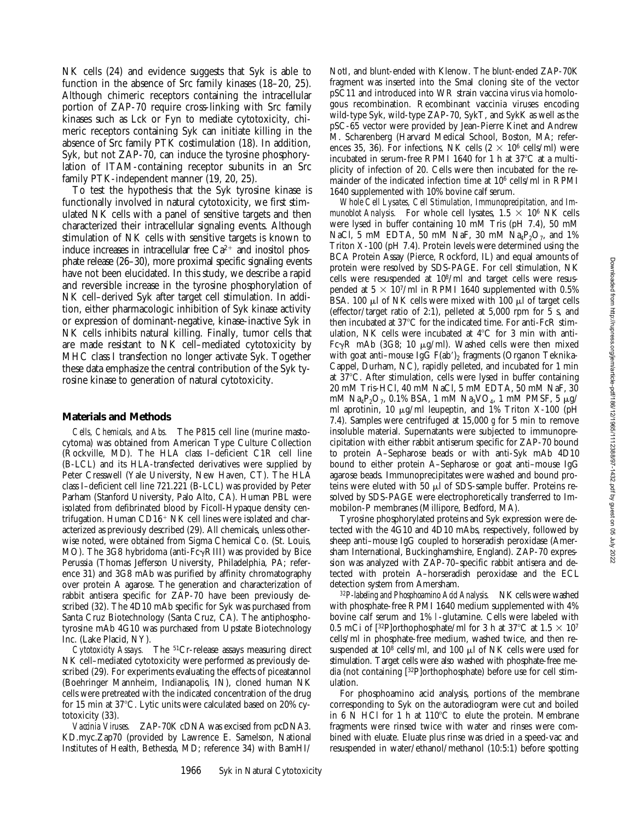NK cells (24) and evidence suggests that Syk is able to function in the absence of Src family kinases (18–20, 25). Although chimeric receptors containing the intracellular portion of ZAP-70 require cross-linking with Src family kinases such as Lck or Fyn to mediate cytotoxicity, chimeric receptors containing Syk can initiate killing in the absence of Src family PTK costimulation (18). In addition, Syk, but not ZAP-70, can induce the tyrosine phosphorylation of ITAM-containing receptor subunits in an Src family PTK-independent manner (19, 20, 25).

To test the hypothesis that the Syk tyrosine kinase is functionally involved in natural cytotoxicity, we first stimulated NK cells with a panel of sensitive targets and then characterized their intracellular signaling events. Although stimulation of NK cells with sensitive targets is known to induce increases in intracellular free  $Ca^{2+}$  and inositol phosphate release (26–30), more proximal specific signaling events have not been elucidated. In this study, we describe a rapid and reversible increase in the tyrosine phosphorylation of NK cell–derived Syk after target cell stimulation. In addition, either pharmacologic inhibition of Syk kinase activity or expression of dominant-negative, kinase-inactive Syk in NK cells inhibits natural killing. Finally, tumor cells that are made resistant to NK cell–mediated cytotoxicity by MHC class I transfection no longer activate Syk. Together these data emphasize the central contribution of the Syk tyrosine kinase to generation of natural cytotoxicity.

#### **Materials and Methods**

*Cells, Chemicals, and Abs.* The P815 cell line (murine mastocytoma) was obtained from American Type Culture Collection (Rockville, MD). The HLA class I–deficient C1R cell line (B-LCL) and its HLA-transfected derivatives were supplied by Peter Cresswell (Yale University, New Haven, CT). The HLA class I–deficient cell line 721.221 (B-LCL) was provided by Peter Parham (Stanford University, Palo Alto, CA). Human PBL were isolated from defibrinated blood by Ficoll-Hypaque density centrifugation. Human  $CD16+NK$  cell lines were isolated and characterized as previously described (29). All chemicals, unless otherwise noted, were obtained from Sigma Chemical Co. (St. Louis, MO). The 3G8 hybridoma (anti-Fc $\gamma$ RIII) was provided by Bice Perussia (Thomas Jefferson University, Philadelphia, PA; reference 31) and 3G8 mAb was purified by affinity chromatography over protein A agarose. The generation and characterization of rabbit antisera specific for ZAP-70 have been previously described (32). The 4D10 mAb specific for Syk was purchased from Santa Cruz Biotechnology (Santa Cruz, CA). The antiphosphotyrosine mAb 4G10 was purchased from Upstate Biotechnology Inc. (Lake Placid, NY).

*Cytotoxicity Assays.* The 51Cr-release assays measuring direct NK cell–mediated cytotoxicity were performed as previously described (29). For experiments evaluating the effects of piceatannol (Boehringer Mannheim, Indianapolis, IN), cloned human NK cells were pretreated with the indicated concentration of the drug for 15 min at 37 $^{\circ}$ C. Lytic units were calculated based on 20% cytotoxicity (33).

*Vaccinia Viruses.* ZAP-70K cDNA was excised from pcDNA3. KD.myc.Zap70 (provided by Lawrence E. Samelson, National Institutes of Health, Bethesda, MD; reference 34) with BamHI/

NotI, and blunt-ended with Klenow. The blunt-ended ZAP-70K fragment was inserted into the SmaI cloning site of the vector pSC11 and introduced into WR strain vaccina virus via homologous recombination. Recombinant vaccinia viruses encoding wild-type Syk, wild-type ZAP-70, SykT, and SykK as well as the pSC-65 vector were provided by Jean-Pierre Kinet and Andrew M. Scharenberg (Harvard Medical School, Boston, MA; references 35, 36). For infections, NK cells  $(2 \times 10^6 \text{ cells/ml})$  were incubated in serum-free RPMI 1640 for 1 h at  $37^{\circ}$ C at a multiplicity of infection of 20. Cells were then incubated for the remainder of the indicated infection time at 106 cells/ml in RPMI 1640 supplemented with 10% bovine calf serum.

*Whole Cell Lysates, Cell Stimulation, Immunoprecipitation, and Im*munoblot Analysis. For whole cell lysates,  $1.5 \times 10^6$  NK cells were lysed in buffer containing 10 mM Tris (pH 7.4), 50 mM NaCl, 5 mM EDTA, 50 mM NaF, 30 mM  $Na_4P_2O_7$ , and 1% Triton X-100 (pH 7.4). Protein levels were determined using the BCA Protein Assay (Pierce, Rockford, IL) and equal amounts of protein were resolved by SDS-PAGE. For cell stimulation, NK cells were resuspended at 108/ml and target cells were resuspended at  $5 \times 10^{7}$ /ml in RPMI 1640 supplemented with 0.5% BSA. 100  $\mu$ l of NK cells were mixed with 100  $\mu$ l of target cells (effector/target ratio of 2:1), pelleted at 5,000 rpm for 5 s, and then incubated at  $37^{\circ}$ C for the indicated time. For anti-FcR stimulation, NK cells were incubated at  $4^{\circ}$ C for 3 min with anti-Fc $\gamma$ R mAb (3G8; 10  $\mu$ g/ml). Washed cells were then mixed with goat anti–mouse IgG  $F(ab')$ , fragments (Organon Teknika-Cappel, Durham, NC), rapidly pelleted, and incubated for 1 min at  $37^{\circ}$ C. After stimulation, cells were lysed in buffer containing 20 mM Tris-HCl, 40 mM NaCl, 5 mM EDTA, 50 mM NaF, 30 mM  $Na_4P_2O_7$ , 0.1% BSA, 1 mM  $Na_3VO_4$ , 1 mM PMSF, 5  $\mu$ g/ ml aprotinin, 10  $\mu$ g/ml leupeptin, and 1% Triton X-100 (pH 7.4). Samples were centrifuged at 15,000 *g* for 5 min to remove insoluble material. Supernatants were subjected to immunoprecipitation with either rabbit antiserum specific for ZAP-70 bound to protein A–Sepharose beads or with anti-Syk mAb 4D10 bound to either protein A–Sepharose or goat anti–mouse IgG agarose beads. Immunoprecipitates were washed and bound proteins were eluted with 50  $\mu$ l of SDS-sample buffer. Proteins resolved by SDS-PAGE were electrophoretically transferred to Immobilon-P membranes (Millipore, Bedford, MA).

Tyrosine phosphorylated proteins and Syk expression were detected with the 4G10 and 4D10 mAbs, respectively, followed by sheep anti–mouse IgG coupled to horseradish peroxidase (Amersham International, Buckinghamshire, England). ZAP-70 expression was analyzed with ZAP-70–specific rabbit antisera and detected with protein A–horseradish peroxidase and the ECL detection system from Amersham.

*32P-labeling and Phosphoamino Acid Analysis.* NK cells were washed with phosphate-free RPMI 1640 medium supplemented with 4% bovine calf serum and 1% l-glutamine. Cells were labeled with 0.5 mCi of [32P]orthophosphate/ml for 3 h at 37°C at  $1.5 \times 10^7$ cells/ml in phosphate-free medium, washed twice, and then resuspended at  $10^8$  cells/ml, and  $100 \mu$ l of NK cells were used for stimulation. Target cells were also washed with phosphate-free media (not containing [32P]orthophosphate) before use for cell stimulation.

For phosphoamino acid analysis, portions of the membrane corresponding to Syk on the autoradiogram were cut and boiled in  $6$  N HCl for 1 h at 110 $^{\circ}$ C to elute the protein. Membrane fragments were rinsed twice with water and rinses were combined with eluate. Eluate plus rinse was dried in a speed-vac and resuspended in water/ethanol/methanol (10:5:1) before spotting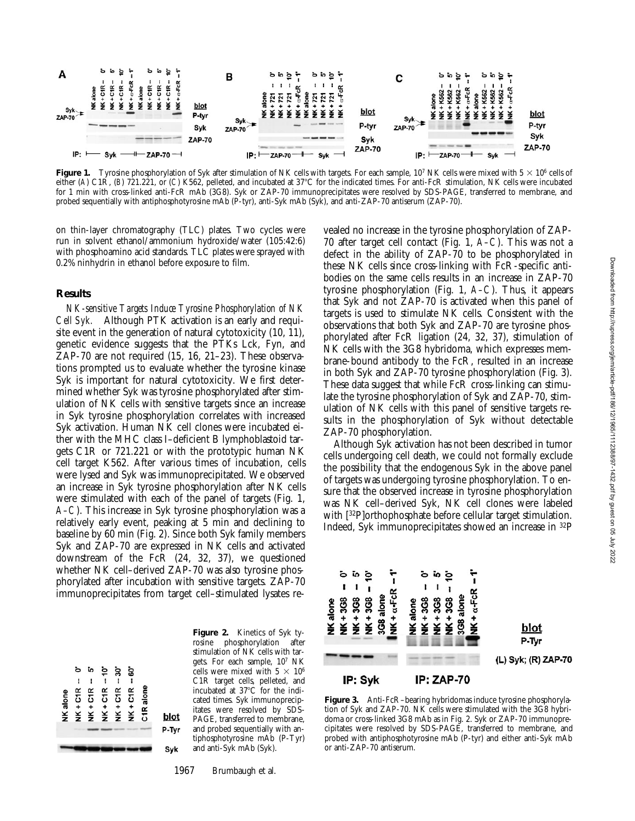

**Figure 1.** Tyrosine phosphorylation of Syk after stimulation of NK cells with targets. For each sample,  $10^7$  NK cells were mixed with  $5 \times 10^6$  cells of either (A) C1R, (B) 721.221, or (C) K562, pelleted, and incubated at 37°C for the indicated times. For anti-FcR stimulation, NK cells were incubated for 1 min with cross-linked anti-FcR mAb (3G8). Syk or ZAP-70 immunoprecipitates were resolved by SDS-PAGE, transferred to membrane, and probed sequentially with antiphosphotyrosine mAb (P-tyr), anti-Syk mAb (Syk), and anti-ZAP-70 antiserum (ZAP-70).

on thin-layer chromatography (TLC) plates. Two cycles were run in solvent ethanol/ammonium hydroxide/water (105:42:6) with phosphoamino acid standards. TLC plates were sprayed with 0.2% ninhydrin in ethanol before exposure to film.

## **Results**

*NK-sensitive Targets Induce Tyrosine Phosphorylation of NK Cell Syk.* Although PTK activation is an early and requisite event in the generation of natural cytotoxicity (10, 11), genetic evidence suggests that the PTKs Lck, Fyn, and ZAP-70 are not required (15, 16, 21–23). These observations prompted us to evaluate whether the tyrosine kinase Syk is important for natural cytotoxicity. We first determined whether Syk was tyrosine phosphorylated after stimulation of NK cells with sensitive targets since an increase in Syk tyrosine phosphorylation correlates with increased Syk activation. Human NK cell clones were incubated either with the MHC class I–deficient B lymphoblastoid targets C1R or 721.221 or with the prototypic human NK cell target K562. After various times of incubation, cells were lysed and Syk was immunoprecipitated. We observed an increase in Syk tyrosine phosphorylation after NK cells were stimulated with each of the panel of targets (Fig. 1, *A–C*). This increase in Syk tyrosine phosphorylation was a relatively early event, peaking at 5 min and declining to baseline by 60 min (Fig. 2). Since both Syk family members Syk and ZAP-70 are expressed in NK cells and activated downstream of the FcR (24, 32, 37), we questioned whether NK cell–derived ZAP-70 was also tyrosine phosphorylated after incubation with sensitive targets. ZAP-70 immunoprecipitates from target cell–stimulated lysates re-



**Figure 2.** Kinetics of Syk tyrosine phosphorylation after stimulation of NK cells with targets. For each sample, 107 NK cells were mixed with  $5 \times 10^6$ C1R target cells, pelleted, and incubated at  $37^{\circ}$ C for the indicated times. Syk immunoprecipitates were resolved by SDS-PAGE, transferred to membrane, and probed sequentially with antiphosphotyrosine mAb (P-Tyr) and anti-Syk mAb (Syk).

1967 Brumbaugh et al.

vealed no increase in the tyrosine phosphorylation of ZAP-70 after target cell contact (Fig. 1, *A–C*). This was not a defect in the ability of ZAP-70 to be phosphorylated in these NK cells since cross-linking with FcR-specific antibodies on the same cells results in an increase in ZAP-70 tyrosine phosphorylation (Fig. 1, *A–C*). Thus, it appears that Syk and not ZAP-70 is activated when this panel of targets is used to stimulate NK cells. Consistent with the observations that both Syk and ZAP-70 are tyrosine phosphorylated after FcR ligation (24, 32, 37), stimulation of NK cells with the 3G8 hybridoma, which expresses membrane-bound antibody to the FcR, resulted in an increase in both Syk and ZAP-70 tyrosine phosphorylation (Fig. 3). These data suggest that while FcR cross-linking can stimulate the tyrosine phosphorylation of Syk and ZAP-70, stimulation of NK cells with this panel of sensitive targets results in the phosphorylation of Syk without detectable ZAP-70 phosphorylation.

Although Syk activation has not been described in tumor cells undergoing cell death, we could not formally exclude the possibility that the endogenous Syk in the above panel of targets was undergoing tyrosine phosphorylation. To ensure that the observed increase in tyrosine phosphorylation was NK cell–derived Syk, NK cell clones were labeled with [32P]orthophosphate before cellular target stimulation. Indeed, Syk immunoprecipitates showed an increase in 32P



**Figure 3.** Anti-FcR–bearing hybridomas induce tyrosine phosphorylation of Syk and ZAP-70. NK cells were stimulated with the 3G8 hybridoma or cross-linked 3G8 mAb as in Fig. 2. Syk or ZAP-70 immunoprecipitates were resolved by SDS-PAGE, transferred to membrane, and probed with antiphosphotyrosine mAb (P-tyr) and either anti-Syk mAb or anti-ZAP-70 antiserum.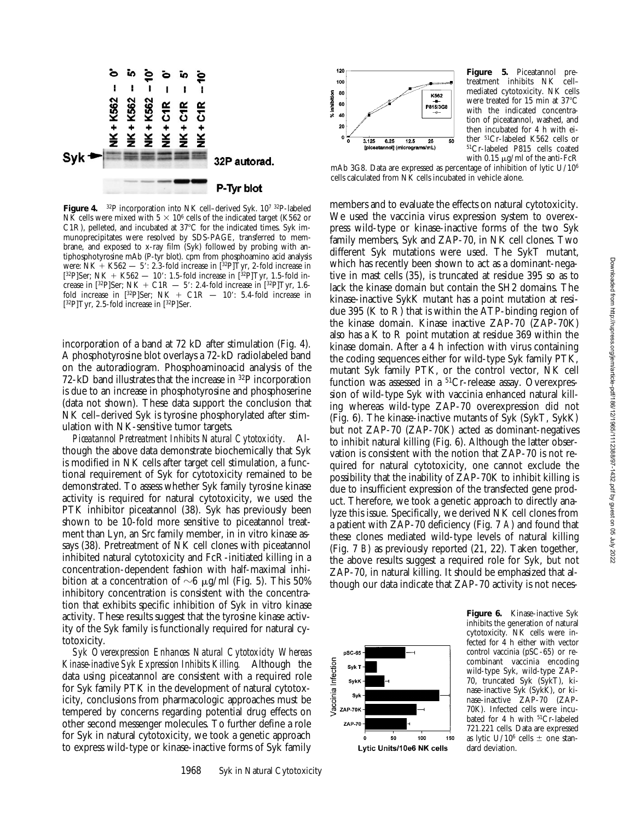

**Figure 4.** 32P incorporation into NK cell–derived Syk. 107 32P-labeled NK cells were mixed with  $5 \times 10^6$  cells of the indicated target (K562 or C1R), pelleted, and incubated at  $37^{\circ}$ C for the indicated times. Syk immunoprecipitates were resolved by SDS-PAGE, transferred to membrane, and exposed to x-ray film (Syk) followed by probing with antiphosphotyrosine mAb (P-tyr blot). cpm from phosphoamino acid analysis were: NK + K562  $-$  5': 2.3-fold increase in [32P]Tyr, 2-fold increase in  $[^{32}P]$ Ser; NK + K562 — 10': 1.5-fold increase in  $[^{32}P]$ Tyr, 1.5-fold increase in [32P]Ser; NK + C1R  $-$  5': 2.4-fold increase in [32P]Tyr, 1.6fold increase in  $[^{32}P]$ Ser; NK + C1R - 10': 5.4-fold increase in  $[32P]$ Tyr, 2.5-fold increase in  $[32P]$ Ser.

incorporation of a band at 72 kD after stimulation (Fig. 4). A phosphotyrosine blot overlays a 72-kD radiolabeled band on the autoradiogram. Phosphoaminoacid analysis of the 72-kD band illustrates that the increase in 32P incorporation is due to an increase in phosphotyrosine and phosphoserine (data not shown). These data support the conclusion that NK cell–derived Syk is tyrosine phosphorylated after stimulation with NK-sensitive tumor targets.

*Piceatannol Pretreatment Inhibits Natural Cytotoxicity.* Although the above data demonstrate biochemically that Syk is modified in NK cells after target cell stimulation, a functional requirement of Syk for cytotoxicity remained to be demonstrated. To assess whether Syk family tyrosine kinase activity is required for natural cytotoxicity, we used the PTK inhibitor piceatannol (38). Syk has previously been shown to be 10-fold more sensitive to piceatannol treatment than Lyn, an Src family member, in in vitro kinase assays (38). Pretreatment of NK cell clones with piceatannol inhibited natural cytotoxicity and FcR-initiated killing in a concentration-dependent fashion with half-maximal inhibition at a concentration of  $\sim$ 6  $\mu$ g/ml (Fig. 5). This 50% inhibitory concentration is consistent with the concentration that exhibits specific inhibition of Syk in vitro kinase activity. These results suggest that the tyrosine kinase activity of the Syk family is functionally required for natural cytotoxicity.

*Syk Overexpression Enhances Natural Cytotoxicity Whereas Kinase-inactive Syk Expression Inhibits Killing.* Although the data using piceatannol are consistent with a required role for Syk family PTK in the development of natural cytotoxicity, conclusions from pharmacologic approaches must be tempered by concerns regarding potential drug effects on other second messenger molecules. To further define a role for Syk in natural cytotoxicity, we took a genetic approach to express wild-type or kinase-inactive forms of Syk family



**Figure 5.** Piceatannol pretreatment inhibits NK cell– mediated cytotoxicity. NK cells were treated for 15 min at 37°C with the indicated concentration of piceatannol, washed, and then incubated for 4 h with either 51Cr-labeled K562 cells or 51Cr-labeled P815 cells coated with 0.15  $\mu$ g/ml of the anti-FcR

mAb 3G8. Data are expressed as percentage of inhibition of lytic U/106 cells calculated from NK cells incubated in vehicle alone.

members and to evaluate the effects on natural cytotoxicity. We used the vaccinia virus expression system to overexpress wild-type or kinase-inactive forms of the two Syk family members, Syk and ZAP-70, in NK cell clones. Two different Syk mutations were used. The SykT mutant, which has recently been shown to act as a dominant-negative in mast cells (35), is truncated at residue 395 so as to lack the kinase domain but contain the SH2 domains. The kinase-inactive SykK mutant has a point mutation at residue 395 (K to R) that is within the ATP-binding region of the kinase domain. Kinase inactive ZAP-70 (ZAP-70K) also has a K to R point mutation at residue 369 within the kinase domain. After a 4 h infection with virus containing the coding sequences either for wild-type Syk family PTK, mutant Syk family PTK, or the control vector, NK cell function was assessed in a  ${}^{51}Cr$ -release assay. Overexpression of wild-type Syk with vaccinia enhanced natural killing whereas wild-type ZAP-70 overexpression did not (Fig. 6). The kinase-inactive mutants of Syk (SykT, SykK) but not ZAP-70 (ZAP-70K) acted as dominant-negatives to inhibit natural killing (Fig. 6). Although the latter observation is consistent with the notion that ZAP-70 is not required for natural cytotoxicity, one cannot exclude the possibility that the inability of ZAP-70K to inhibit killing is due to insufficient expression of the transfected gene product. Therefore, we took a genetic approach to directly analyze this issue. Specifically, we derived NK cell clones from a patient with ZAP-70 deficiency (Fig. 7 *A*) and found that these clones mediated wild-type levels of natural killing (Fig. 7 *B*) as previously reported (21, 22). Taken together, the above results suggest a required role for Syk, but not ZAP-70, in natural killing. It should be emphasized that although our data indicate that ZAP-70 activity is not neces-



**Figure 6.** Kinase-inactive Syk inhibits the generation of natural cytotoxicity. NK cells were infected for 4 h either with vector control vaccinia (pSC-65) or recombinant vaccinia encoding wild-type Syk, wild-type ZAP-70, truncated Syk (SykT), kinase-inactive Syk (SykK), or kinase-inactive ZAP-70 (ZAP-70K). Infected cells were incubated for 4 h with 51Cr-labeled 721.221 cells. Data are expressed as lytic U/10<sup>6</sup> cells  $\pm$  one standard deviation.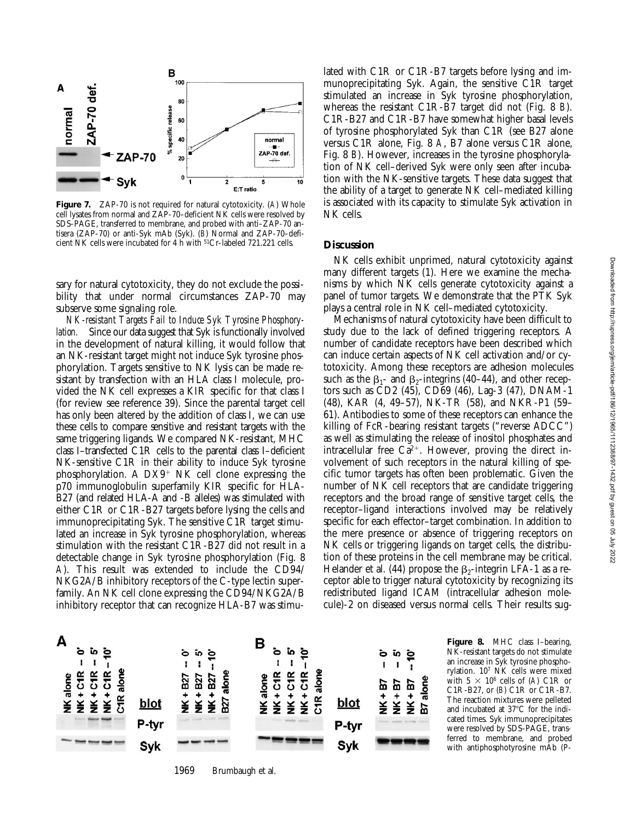

**Figure 7.** ZAP-70 is not required for natural cytotoxicity. (*A*) Whole cell lysates from normal and ZAP-70–deficient NK cells were resolved by SDS-PAGE, transferred to membrane, and probed with anti–ZAP-70 antisera (ZAP-70) or anti-Syk mAb (Syk). (*B*) Normal and ZAP-70–deficient NK cells were incubated for 4 h with 51Cr-labeled 721.221 cells.

sary for natural cytotoxicity, they do not exclude the possibility that under normal circumstances ZAP-70 may subserve some signaling role.

*NK-resistant Targets Fail to Induce Syk Tyrosine Phosphorylation.* Since our data suggest that Syk is functionally involved in the development of natural killing, it would follow that an NK-resistant target might not induce Syk tyrosine phosphorylation. Targets sensitive to NK lysis can be made resistant by transfection with an HLA class I molecule, provided the NK cell expresses a KIR specific for that class I (for review see reference 39). Since the parental target cell has only been altered by the addition of class I, we can use these cells to compare sensitive and resistant targets with the same triggering ligands. We compared NK-resistant, MHC class I–transfected C1R cells to the parental class I–deficient NK-sensitive C1R in their ability to induce Syk tyrosine phosphorylation. A  $DX9^+$  NK cell clone expressing the p70 immunoglobulin superfamily KIR specific for HLA-B27 (and related HLA-A and -B alleles) was stimulated with either C1R or C1R-B27 targets before lysing the cells and immunoprecipitating Syk. The sensitive C1R target stimulated an increase in Syk tyrosine phosphorylation, whereas stimulation with the resistant C1R-B27 did not result in a detectable change in Syk tyrosine phosphorylation (Fig. 8 *A*). This result was extended to include the CD94/ NKG2A/B inhibitory receptors of the C-type lectin superfamily. An NK cell clone expressing the CD94/NKG2A/B inhibitory receptor that can recognize HLA-B7 was stimulated with C1R or C1R-B7 targets before lysing and immunoprecipitating Syk. Again, the sensitive C1R target stimulated an increase in Syk tyrosine phosphorylation, whereas the resistant C1R-B7 target did not (Fig. 8 *B*). C1R-B27 and C1R-B7 have somewhat higher basal levels of tyrosine phosphorylated Syk than C1R (see B27 alone versus C1R alone, Fig. 8 *A*, B7 alone versus C1R alone, Fig. 8 *B*). However, increases in the tyrosine phosphorylation of NK cell–derived Syk were only seen after incubation with the NK-sensitive targets. These data suggest that the ability of a target to generate NK cell–mediated killing is associated with its capacity to stimulate Syk activation in NK cells.

#### **Discussion**

NK cells exhibit unprimed, natural cytotoxicity against many different targets (1). Here we examine the mechanisms by which NK cells generate cytotoxicity against a panel of tumor targets. We demonstrate that the PTK Syk plays a central role in NK cell–mediated cytotoxicity.

Mechanisms of natural cytotoxicity have been difficult to study due to the lack of defined triggering receptors. A number of candidate receptors have been described which can induce certain aspects of NK cell activation and/or cytotoxicity. Among these receptors are adhesion molecules such as the  $\beta_1$ - and  $\beta_2$ -integrins (40–44), and other receptors such as CD2 (45), CD69 (46), Lag-3 (47), DNAM-1 (48), KAR (4, 49–57), NK-TR (58), and NKR-P1 (59– 61). Antibodies to some of these receptors can enhance the killing of FcR-bearing resistant targets ("reverse ADCC") as well as stimulating the release of inositol phosphates and intracellular free  $Ca^{2+}$ . However, proving the direct involvement of such receptors in the natural killing of specific tumor targets has often been problematic. Given the number of NK cell receptors that are candidate triggering receptors and the broad range of sensitive target cells, the receptor–ligand interactions involved may be relatively specific for each effector–target combination. In addition to the mere presence or absence of triggering receptors on NK cells or triggering ligands on target cells, the distribution of these proteins in the cell membrane may be critical. Helander et al. (44) propose the  $\beta_2$ -integrin LFA-1 as a receptor able to trigger natural cytotoxicity by recognizing its redistributed ligand ICAM (intracellular adhesion molecule)-2 on diseased versus normal cells. Their results sug-



**Figure 8.** MHC class I–bearing, NK-resistant targets do not stimulate an increase in Syk tyrosine phosphorylation. 107 NK cells were mixed with  $5 \times 10^6$  cells of (*A*) C1R or C1R-B27, or (*B*) C1R or C1R-B7. The reaction mixtures were pelleted and incubated at  $37^{\circ}$ C for the indicated times. Syk immunoprecipitates were resolved by SDS-PAGE, transferred to membrane, and probed with antiphosphotyrosine mAb (P-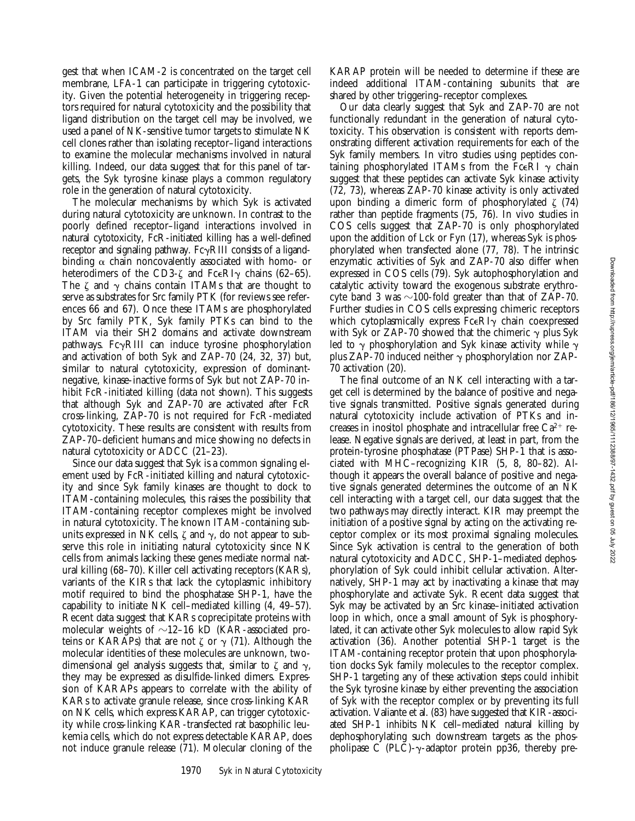gest that when ICAM-2 is concentrated on the target cell membrane, LFA-1 can participate in triggering cytotoxicity. Given the potential heterogeneity in triggering receptors required for natural cytotoxicity and the possibility that ligand distribution on the target cell may be involved, we used a panel of NK-sensitive tumor targets to stimulate NK cell clones rather than isolating receptor–ligand interactions to examine the molecular mechanisms involved in natural killing. Indeed, our data suggest that for this panel of targets, the Syk tyrosine kinase plays a common regulatory role in the generation of natural cytotoxicity.

The molecular mechanisms by which Syk is activated during natural cytotoxicity are unknown. In contrast to the poorly defined receptor–ligand interactions involved in natural cytotoxicity, FcR-initiated killing has a well-defined receptor and signaling pathway.  $Fc\gamma RIII$  consists of a ligandbinding  $\alpha$  chain noncovalently associated with homo- or heterodimers of the CD3- $\zeta$  and FceRI $\gamma$  chains (62–65). The  $\zeta$  and  $\gamma$  chains contain ITAMs that are thought to serve as substrates for Src family PTK (for reviews see references 66 and 67). Once these ITAMs are phosphorylated by Src family PTK, Syk family PTKs can bind to the ITAM via their SH2 domains and activate downstream pathways.  $Fc\gamma$ RIII can induce tyrosine phosphorylation and activation of both Syk and ZAP-70 (24, 32, 37) but, similar to natural cytotoxicity, expression of dominantnegative, kinase-inactive forms of Syk but not ZAP-70 inhibit FcR-initiated killing (data not shown). This suggests that although Syk and ZAP-70 are activated after FcR cross-linking, ZAP-70 is not required for FcR-mediated cytotoxicity. These results are consistent with results from ZAP-70–deficient humans and mice showing no defects in natural cytotoxicity or ADCC (21–23).

Since our data suggest that Syk is a common signaling element used by FcR-initiated killing and natural cytotoxicity and since Syk family kinases are thought to dock to ITAM-containing molecules, this raises the possibility that ITAM-containing receptor complexes might be involved in natural cytotoxicity. The known ITAM-containing subunits expressed in NK cells,  $\zeta$  and  $\gamma$ , do not appear to subserve this role in initiating natural cytotoxicity since NK cells from animals lacking these genes mediate normal natural killing (68–70). Killer cell activating receptors (KARs), variants of the KIRs that lack the cytoplasmic inhibitory motif required to bind the phosphatase SHP-1, have the capability to initiate NK cell–mediated killing (4, 49–57). Recent data suggest that KARs coprecipitate proteins with molecular weights of  $\sim$ 12–16 kD (KAR-associated proteins or KARAPs) that are not  $\zeta$  or  $\gamma$  (71). Although the molecular identities of these molecules are unknown, twodimensional gel analysis suggests that, similar to  $\zeta$  and  $\gamma$ , they may be expressed as disulfide-linked dimers. Expression of KARAPs appears to correlate with the ability of KARs to activate granule release, since cross-linking KAR on NK cells, which express KARAP, can trigger cytotoxicity while cross-linking KAR-transfected rat basophilic leukemia cells, which do not express detectable KARAP, does not induce granule release (71). Molecular cloning of the

KARAP protein will be needed to determine if these are indeed additional ITAM-containing subunits that are shared by other triggering–receptor complexes.

Our data clearly suggest that Syk and ZAP-70 are not functionally redundant in the generation of natural cytotoxicity. This observation is consistent with reports demonstrating different activation requirements for each of the Syk family members. In vitro studies using peptides containing phosphorylated ITAMs from the Fc $\epsilon$ RI  $\gamma$  chain suggest that these peptides can activate Syk kinase activity (72, 73), whereas ZAP-70 kinase activity is only activated upon binding a dimeric form of phosphorylated  $\zeta$  (74) rather than peptide fragments (75, 76). In vivo studies in COS cells suggest that ZAP-70 is only phosphorylated upon the addition of Lck or Fyn (17), whereas Syk is phosphorylated when transfected alone (77, 78). The intrinsic enzymatic activities of Syk and ZAP-70 also differ when expressed in COS cells (79). Syk autophosphorylation and catalytic activity toward the exogenous substrate erythrocyte band 3 was  $\sim$ 100-fold greater than that of ZAP-70. Further studies in COS cells expressing chimeric receptors which cytoplasmically express  $Fc \in RI$ <sub>y</sub> chain coexpressed with Syk or ZAP-70 showed that the chimeric  $\gamma$  plus Syk led to  $\gamma$  phosphorylation and Syk kinase activity while  $\gamma$ plus ZAP-70 induced neither  $\gamma$  phosphorylation nor ZAP-70 activation (20).

The final outcome of an NK cell interacting with a target cell is determined by the balance of positive and negative signals transmitted. Positive signals generated during natural cytotoxicity include activation of PTKs and increases in inositol phosphate and intracellular free  $Ca^{2+}$  release. Negative signals are derived, at least in part, from the protein-tyrosine phosphatase (PTPase) SHP-1 that is associated with MHC–recognizing KIR (5, 8, 80–82). Although it appears the overall balance of positive and negative signals generated determines the outcome of an NK cell interacting with a target cell, our data suggest that the two pathways may directly interact. KIR may preempt the initiation of a positive signal by acting on the activating receptor complex or its most proximal signaling molecules. Since Syk activation is central to the generation of both natural cytotoxicity and ADCC, SHP-1–mediated dephosphorylation of Syk could inhibit cellular activation. Alternatively, SHP-1 may act by inactivating a kinase that may phosphorylate and activate Syk. Recent data suggest that Syk may be activated by an Src kinase–initiated activation loop in which, once a small amount of Syk is phosphorylated, it can activate other Syk molecules to allow rapid Syk activation (36). Another potential SHP-1 target is the ITAM-containing receptor protein that upon phosphorylation docks Syk family molecules to the receptor complex. SHP-1 targeting any of these activation steps could inhibit the Syk tyrosine kinase by either preventing the association of Syk with the receptor complex or by preventing its full activation. Valiante et al. (83) have suggested that KIR-associated SHP-1 inhibits NK cell–mediated natural killing by dephosphorylating such downstream targets as the phospholipase C (PLC)- $\gamma$ -adaptor protein pp36, thereby pre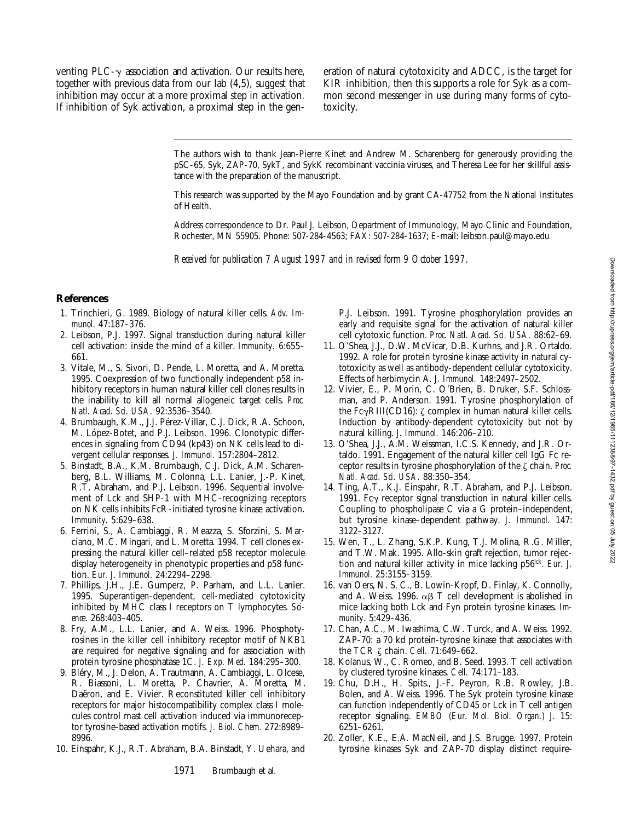venting PLC- $\gamma$  association and activation. Our results here, together with previous data from our lab (4,5), suggest that inhibition may occur at a more proximal step in activation. If inhibition of Syk activation, a proximal step in the generation of natural cytotoxicity and ADCC, is the target for KIR inhibition, then this supports a role for Syk as a common second messenger in use during many forms of cytotoxicity.

The authors wish to thank Jean-Pierre Kinet and Andrew M. Scharenberg for generously providing the pSC-65, Syk, ZAP-70, SykT, and SykK recombinant vaccinia viruses, and Theresa Lee for her skillful assistance with the preparation of the manuscript.

This research was supported by the Mayo Foundation and by grant CA-47752 from the National Institutes of Health.

Address correspondence to Dr. Paul J. Leibson, Department of Immunology, Mayo Clinic and Foundation, Rochester, MN 55905. Phone: 507-284-4563; FAX: 507-284-1637; E-mail: leibson.paul@mayo.edu

*Received for publication 7 August 1997 and in revised form 9 October 1997.*

#### **References**

- 1. Trinchieri, G. 1989. Biology of natural killer cells. *Adv. Immunol.* 47:187–376.
- 2. Leibson, P.J. 1997. Signal transduction during natural killer cell activation: inside the mind of a killer. *Immunity.* 6:655– 661.
- 3. Vitale, M., S. Sivori, D. Pende, L. Moretta, and A. Moretta. 1995. Coexpression of two functionally independent p58 inhibitory receptors in human natural killer cell clones results in the inability to kill all normal allogeneic target cells. *Proc. Natl. Acad. Sci. USA.* 92:3536–3540.
- 4. Brumbaugh, K.M., J.J. Pérez-Villar, C.J. Dick, R.A. Schoon, M. López-Botet, and P.J. Leibson. 1996. Clonotypic differences in signaling from CD94 (kp43) on NK cells lead to divergent cellular responses. *J. Immunol.* 157:2804–2812.
- 5. Binstadt, B.A., K.M. Brumbaugh, C.J. Dick, A.M. Scharenberg, B.L. Williams, M. Colonna, L.L. Lanier, J.-P. Kinet, R.T. Abraham, and P.J. Leibson. 1996. Sequential involvement of Lck and SHP-1 with MHC-recognizing receptors on NK cells inhibits FcR-initiated tyrosine kinase activation. *Immunity.* 5:629–638.
- 6. Ferrini, S., A. Cambiaggi, R. Meazza, S. Sforzini, S. Marciano, M.C. Mingari, and L. Moretta. 1994. T cell clones expressing the natural killer cell–related p58 receptor molecule display heterogeneity in phenotypic properties and p58 function. *Eur. J. Immunol.* 24:2294–2298.
- 7. Phillips, J.H., J.E. Gumperz, P. Parham, and L.L. Lanier. 1995. Superantigen-dependent, cell-mediated cytotoxicity inhibited by MHC class I receptors on T lymphocytes. *Science.* 268:403–405.
- 8. Fry, A.M., L.L. Lanier, and A. Weiss. 1996. Phosphotyrosines in the killer cell inhibitory receptor motif of NKB1 are required for negative signaling and for association with protein tyrosine phosphatase 1C. *J. Exp. Med.* 184:295–300.
- 9. Bléry, M., J. Delon, A. Trautmann, A. Cambiaggi, L. Olcese, R. Biassoni, L. Moretta, P. Chavrier, A. Moretta, M. Daëron, and E. Vivier. Reconstituted killer cell inhibitory receptors for major histocompatibility complex class I molecules control mast cell activation induced via immunoreceptor tyrosine-based activation motifs. *J. Biol. Chem.* 272:8989– 8996.
- 10. Einspahr, K.J., R.T. Abraham, B.A. Binstadt, Y. Uehara, and

P.J. Leibson. 1991. Tyrosine phosphorylation provides an early and requisite signal for the activation of natural killer cell cytotoxic function. *Proc. Natl. Acad. Sci. USA.* 88:62–69.

- 11. O'Shea, J.J., D.W. McVicar, D.B. Kurhns, and J.R. Ortaldo. 1992. A role for protein tyrosine kinase activity in natural cytotoxicity as well as antibody-dependent cellular cytotoxicity. Effects of herbimycin A. *J. Immunol.* 148:2497–2502.
- 12. Vivier, E., P. Morin, C. O'Brien, B. Druker, S.F. Schlossman, and P. Anderson. 1991. Tyrosine phosphorylation of the Fc $\gamma$ RIII(CD16):  $\zeta$  complex in human natural killer cells. Induction by antibody-dependent cytotoxicity but not by natural killing. *J. Immunol.* 146:206–210.
- 13. O'Shea, J.J., A.M. Weissman, I.C.S. Kennedy, and J.R. Ortaldo. 1991. Engagement of the natural killer cell IgG Fc receptor results in tyrosine phosphorylation of the z chain. *Proc. Natl. Acad. Sci. USA.* 88:350–354.
- 14. Ting, A.T., K.J. Einspahr, R.T. Abraham, and P.J. Leibson. 1991. Fc $\gamma$  receptor signal transduction in natural killer cells. Coupling to phospholipase C via a G protein–independent, but tyrosine kinase–dependent pathway. *J. Immunol.* 147: 3122–3127.
- 15. Wen, T., L. Zhang, S.K.P. Kung, T.J. Molina, R.G. Miller, and T.W. Mak. 1995. Allo-skin graft rejection, tumor rejection and natural killer activity in mice lacking p56<sup>lck</sup>. *Eur. J. Immunol.* 25:3155–3159.
- 16. van Oers, N. S. C., B. Lowin-Kropf, D. Finlay, K. Connolly, and A. Weiss. 1996.  $\alpha\beta$  T cell development is abolished in mice lacking both Lck and Fyn protein tyrosine kinases. *Immunity.* 5:429–436.
- 17. Chan, A.C., M. Iwashima, C.W. Turck, and A. Weiss. 1992. ZAP-70: a 70 kd protein-tyrosine kinase that associates with the TCR z chain. *Cell.* 71:649–662.
- 18. Kolanus, W., C. Romeo, and B. Seed. 1993. T cell activation by clustered tyrosine kinases. *Cell.* 74:171–183.
- 19. Chu, D.H., H. Spits., J.-F. Peyron, R.B. Rowley, J.B. Bolen, and A. Weiss. 1996. The Syk protein tyrosine kinase can function independently of CD45 or Lck in T cell antigen receptor signaling. *EMBO (Eur. Mol. Biol. Organ.) J.* 15: 6251–6261.
- 20. Zoller, K.E., E.A. MacNeil, and J.S. Brugge. 1997. Protein tyrosine kinases Syk and ZAP-70 display distinct require-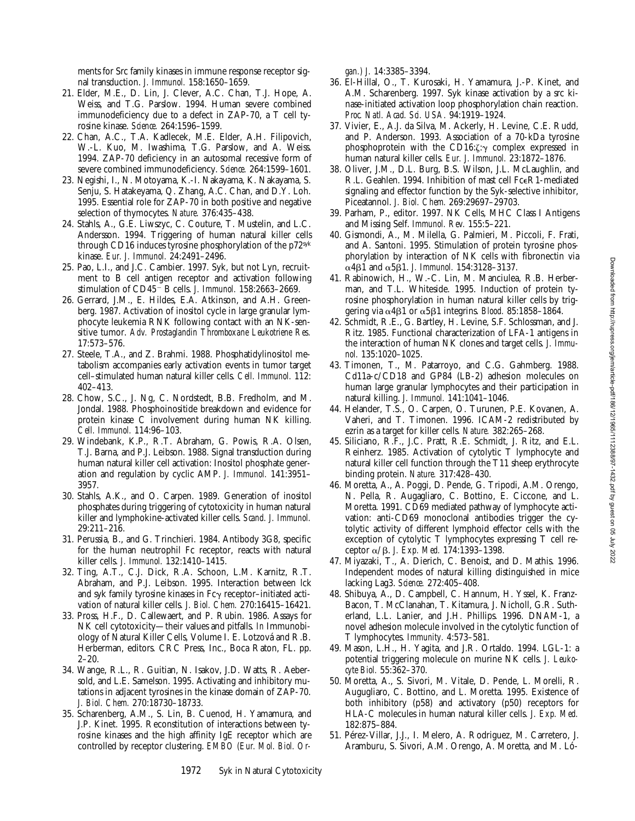ments for Src family kinases in immune response receptor signal transduction. *J. Immunol.* 158:1650–1659.

- 21. Elder, M.E., D. Lin, J. Clever, A.C. Chan, T.J. Hope, A. Weiss, and T.G. Parslow. 1994. Human severe combined immunodeficiency due to a defect in ZAP-70, a T cell tyrosine kinase. *Science.* 264:1596–1599.
- 22. Chan, A.C., T.A. Kadlecek, M.E. Elder, A.H. Filipovich, W.-L. Kuo, M. Iwashima, T.G. Parslow, and A. Weiss. 1994. ZAP-70 deficiency in an autosomal recessive form of severe combined immunodeficiency. *Science.* 264:1599–1601.
- 23. Negishi, I., N. Motoyama, K.-I. Nakayama, K. Nakayama, S. Senju, S. Hatakeyama, Q. Zhang, A.C. Chan, and D.Y. Loh. 1995. Essential role for ZAP-70 in both positive and negative selection of thymocytes. *Nature.* 376:435–438.
- 24. Stahls, A., G.E. Liwszyc, C. Couture, T. Mustelin, and L.C. Andersson. 1994. Triggering of human natural killer cells through CD16 induces tyrosine phosphorylation of the p72syk kinase. *Eur. J. Immunol.* 24:2491–2496.
- 25. Pao, L.I., and J.C. Cambier. 1997. Syk, but not Lyn, recruitment to B cell antigen receptor and activation following stimulation of CD45<sup>-</sup> B cells. *J. Immunol.* 158:2663-2669.
- 26. Gerrard, J.M., E. Hildes, E.A. Atkinson, and A.H. Greenberg. 1987. Activation of inositol cycle in large granular lymphocyte leukemia RNK following contact with an NK-sensitive tumor. *Adv. Prostaglandin Thromboxane Leukotriene Res.* 17:573–576.
- 27. Steele, T.A., and Z. Brahmi. 1988. Phosphatidylinositol metabolism accompanies early activation events in tumor target cell–stimulated human natural killer cells. *Cell. Immunol.* 112: 402–413.
- 28. Chow, S.C., J. Ng, C. Nordstedt, B.B. Fredholm, and M. Jondal. 1988. Phosphoinositide breakdown and evidence for protein kinase C involvement during human NK killing. *Cell. Immunol.* 114:96–103.
- 29. Windebank, K.P., R.T. Abraham, G. Powis, R.A. Olsen, T.J. Barna, and P.J. Leibson. 1988. Signal transduction during human natural killer cell activation: Inositol phosphate generation and regulation by cyclic AMP. *J. Immunol.* 141:3951– 3957.
- 30. Stahls, A.K., and O. Carpen. 1989. Generation of inositol phosphates during triggering of cytotoxicity in human natural killer and lymphokine-activated killer cells. *Scand. J. Immunol.* 29:211–216.
- 31. Perussia, B., and G. Trinchieri. 1984. Antibody 3G8, specific for the human neutrophil Fc receptor, reacts with natural killer cells. *J. Immunol.* 132:1410–1415.
- 32. Ting, A.T., C.J. Dick, R.A. Schoon, L.M. Karnitz, R.T. Abraham, and P.J. Leibson. 1995. Interaction between lck and syk family tyrosine kinases in  $Fc\gamma$  receptor–initiated activation of natural killer cells. *J. Biol. Chem.* 270:16415–16421.
- 33. Pross, H.F., D. Callewaert, and P. Rubin. 1986. Assays for NK cell cytotoxicity—their values and pitfalls. *In* Immunobiology of Natural Killer Cells, Volume I. E. Lotzová and R.B. Herberman, editors. CRC Press, Inc., Boca Raton, FL. pp.  $2 - 20$
- 34. Wange, R.L., R. Guitian, N. Isakov, J.D. Watts, R. Aebersold, and L.E. Samelson. 1995. Activating and inhibitory mutations in adjacent tyrosines in the kinase domain of ZAP-70. *J. Biol. Chem.* 270:18730–18733.
- 35. Scharenberg, A.M., S. Lin, B. Cuenod, H. Yamamura, and J.P. Kinet. 1995. Reconstitution of interactions between tyrosine kinases and the high affinity IgE receptor which are controlled by receptor clustering. *EMBO (Eur. Mol. Biol. Or-*

*gan.) J.* 14:3385–3394.

- 36. El-Hillal, O., T. Kurosaki, H. Yamamura, J.-P. Kinet, and A.M. Scharenberg. 1997. Syk kinase activation by a src kinase-initiated activation loop phosphorylation chain reaction. *Proc. Natl. Acad. Sci. USA.* 94:1919–1924.
- 37. Vivier, E., A.J. da Silva, M. Ackerly, H. Levine, C.E. Rudd, and P. Anderson. 1993. Association of a 70-kDa tyrosine phosphoprotein with the CD16: $\zeta: \gamma$  complex expressed in human natural killer cells. *Eur. J. Immunol.* 23:1872–1876.
- 38. Oliver, J.M., D.L. Burg, B.S. Wilson, J.L. McLaughlin, and R.L. Geahlen. 1994. Inhibition of mast cell FceR1-mediated signaling and effector function by the Syk-selective inhibitor, Piceatannol. *J. Biol. Chem.* 269:29697–29703.
- 39. Parham, P., editor. 1997. NK Cells, MHC Class I Antigens and Missing Self. *Immunol. Rev.* 155:5–221.
- 40. Gismondi, A., M. Milella, G. Palmieri, M. Piccoli, F. Frati, and A. Santoni. 1995. Stimulation of protein tyrosine phosphorylation by interaction of NK cells with fibronectin via  $\alpha$ 4 $\beta$ 1 and  $\alpha$ 5 $\beta$ 1. *J. Immunol.* 154:3128-3137.
- 41. Rabinowich, H., W.-C. Lin, M. Manciulea, R.B. Herberman, and T.L. Whiteside. 1995. Induction of protein tyrosine phosphorylation in human natural killer cells by triggering via  $\alpha$ 4 $\beta$ 1 or  $\alpha$ 5 $\beta$ 1 integrins. *Blood.* 85:1858–1864.
- 42. Schmidt, R.E., G. Bartley, H. Levine, S.F. Schlossman, and J. Ritz. 1985. Functional characterization of LFA-1 antigens in the interaction of human NK clones and target cells. *J. Immunol.* 135:1020–1025.
- 43. Timonen, T., M. Patarroyo, and C.G. Gahmberg. 1988. Cd11a-c/CD18 and GP84 (LB-2) adhesion molecules on human large granular lymphocytes and their participation in natural killing. *J. Immunol.* 141:1041–1046.
- 44. Helander, T.S., O. Carpen, O. Turunen, P.E. Kovanen, A. Vaheri, and T. Timonen. 1996. ICAM-2 redistributed by ezrin as a target for killer cells. *Nature.* 382:265–268.
- 45. Siliciano, R.F., J.C. Pratt, R.E. Schmidt, J. Ritz, and E.L. Reinherz. 1985. Activation of cytolytic T lymphocyte and natural killer cell function through the T11 sheep erythrocyte binding protein. *Nature.* 317:428–430.
- 46. Moretta, A., A. Poggi, D. Pende, G. Tripodi, A.M. Orengo, N. Pella, R. Augagliaro, C. Bottino, E. Ciccone, and L. Moretta. 1991. CD69 mediated pathway of lymphocyte activation: anti-CD69 monoclonal antibodies trigger the cytolytic activity of different lymphoid effector cells with the exception of cytolytic T lymphocytes expressing T cell receptor a/b. *J. Exp. Med.* 174:1393–1398.
- 47. Miyazaki, T., A. Dierich, C. Benoist, and D. Mathis. 1996. Independent modes of natural killing distinguished in mice lacking Lag3. *Science.* 272:405–408.
- 48. Shibuya, A., D. Campbell, C. Hannum, H. Yssel, K. Franz-Bacon, T. McClanahan, T. Kitamura, J. Nicholl, G.R. Sutherland, L.L. Lanier, and J.H. Phillips. 1996. DNAM-1, a novel adhesion molecule involved in the cytolytic function of T lymphocytes. *Immunity.* 4:573–581.
- 49. Mason, L.H., H. Yagita, and J.R. Ortaldo. 1994. LGL-1: a potential triggering molecule on murine NK cells. *J. Leukocyte Biol.* 55:362–370.
- 50. Moretta, A., S. Sivori, M. Vitale, D. Pende, L. Morelli, R. Augugliaro, C. Bottino, and L. Moretta. 1995. Existence of both inhibitory (p58) and activatory (p50) receptors for HLA-C molecules in human natural killer cells. *J. Exp. Med.* 182:875–884.
- 51. Pérez-Villar, J.J., I. Melero, A. Rodriguez, M. Carretero, J. Aramburu, S. Sivori, A.M. Orengo, A. Moretta, and M. Ló-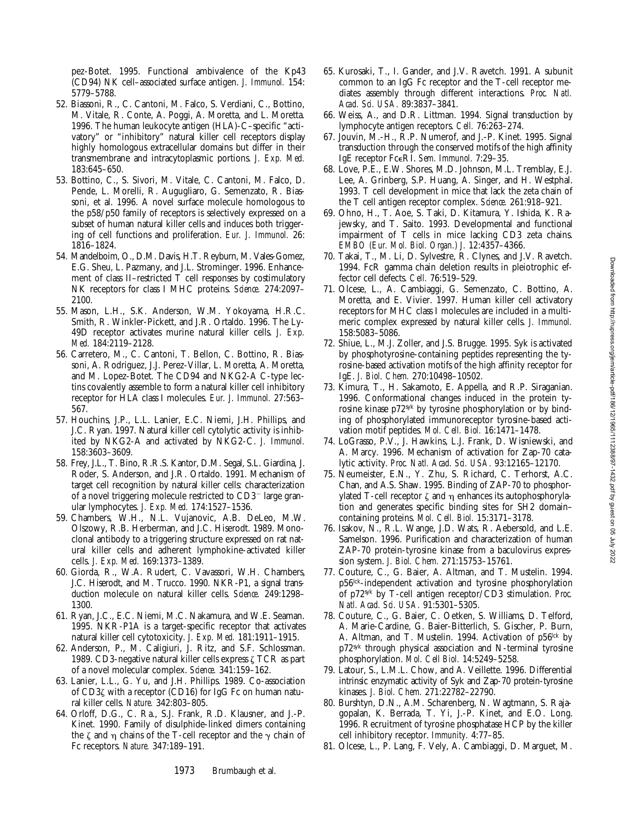pez-Botet. 1995. Functional ambivalence of the Kp43 (CD94) NK cell–associated surface antigen. *J. Immunol.* 154: 5779–5788.

- 52. Biassoni, R., C. Cantoni, M. Falco, S. Verdiani, C., Bottino, M. Vitale, R. Conte, A. Poggi, A. Moretta, and L. Moretta. 1996. The human leukocyte antigen (HLA)-C–specific "activatory" or "inhibitory" natural killer cell receptors display highly homologous extracellular domains but differ in their transmembrane and intracytoplasmic portions. *J. Exp. Med.* 183:645–650.
- 53. Bottino, C., S. Sivori, M. Vitale, C. Cantoni, M. Falco, D. Pende, L. Morelli, R. Augugliaro, G. Semenzato, R. Biassoni, et al. 1996. A novel surface molecule homologous to the p58/p50 family of receptors is selectively expressed on a subset of human natural killer cells and induces both triggering of cell functions and proliferation. *Eur. J. Immunol.* 26: 1816–1824.
- 54. Mandelboim, O., D.M. Davis, H.T. Reyburn, M. Vales-Gomez, E.G. Sheu, L. Pazmany, and J.L. Strominger. 1996. Enhancement of class II–restricted T cell responses by costimulatory NK receptors for class I MHC proteins. *Science.* 274:2097– 2100.
- 55. Mason, L.H., S.K. Anderson, W.M. Yokoyama, H.R.C. Smith, R. Winkler-Pickett, and J.R. Ortaldo. 1996. The Ly-49D receptor activates murine natural killer cells. *J. Exp. Med.* 184:2119–2128.
- 56. Carretero, M., C. Cantoni, T. Bellon, C. Bottino, R. Biassoni, A. Rodriguez, J.J. Perez-Villar, L. Moretta, A. Moretta, and M. Lopez-Botet. The CD94 and NKG2-A C-type lectins covalently assemble to form a natural killer cell inhibitory receptor for HLA class I molecules. *Eur. J. Immunol.* 27:563– 567.
- 57. Houchins, J.P., L.L. Lanier, E.C. Niemi, J.H. Phillips, and J.C. Ryan. 1997. Natural killer cell cytolytic activity is inhibited by NKG2-A and activated by NKG2-C. *J. Immunol.* 158:3603–3609.
- 58. Frey, J.L., T. Bino, R.R.S. Kantor, D.M. Segal, S.L. Giardina, J. Roder, S. Anderson, and J.R. Ortaldo. 1991. Mechanism of target cell recognition by natural killer cells: characterization of a novel triggering molecule restricted to  $CD3^-$  large granular lymphocytes. *J. Exp. Med.* 174:1527–1536.
- 59. Chambers, W.H., N.L. Vujanovic, A.B. DeLeo, M.W. Olszowy, R.B. Herberman, and J.C. Hiserodt. 1989. Monoclonal antibody to a triggering structure expressed on rat natural killer cells and adherent lymphokine-activated killer cells. *J. Exp. Med.* 169:1373–1389.
- 60. Giorda, R., W.A. Rudert, C. Vavassori, W.H. Chambers, J.C. Hiserodt, and M. Trucco. 1990. NKR-P1, a signal transduction molecule on natural killer cells. *Science.* 249:1298– 1300.
- 61. Ryan, J.C., E.C. Niemi, M.C. Nakamura, and W.E. Seaman. 1995. NKR-P1A is a target-specific receptor that activates natural killer cell cytotoxicity. *J. Exp. Med.* 181:1911–1915.
- 62. Anderson, P., M. Caligiuri, J. Ritz, and S.F. Schlossman. 1989. CD3-negative natural killer cells express  $\zeta$  TCR as part of a novel molecular complex. *Science.* 341:159–162.
- 63. Lanier, L.L., G. Yu, and J.H. Phillips. 1989. Co-association of CD3z with a receptor (CD16) for IgG Fc on human natural killer cells. *Nature.* 342:803–805.
- 64. Orloff, D.G., C. Ra., S.J. Frank, R.D. Klausner, and J.-P. Kinet. 1990. Family of disulphide-linked dimers containing the  $\zeta$  and  $\eta$  chains of the T-cell receptor and the  $\gamma$  chain of Fc receptors. *Nature.* 347:189–191.
- 65. Kurosaki, T., I. Gander, and J.V. Ravetch. 1991. A subunit common to an IgG Fc receptor and the T-cell receptor mediates assembly through different interactions. *Proc. Natl. Acad. Sci. USA.* 89:3837–3841.
- 66. Weiss, A., and D.R. Littman. 1994. Signal transduction by lymphocyte antigen receptors. *Cell.* 76:263–274.
- 67. Jouvin, M.-H., R.P. Numerof, and J.-P. Kinet. 1995. Signal transduction through the conserved motifs of the high affinity IgE receptor FceRI. *Sem. Immunol.* 7:29–35.
- 68. Love, P.E., E.W. Shores, M.D. Johnson, M.L. Tremblay, E.J. Lee, A. Grinberg, S.P. Huang, A. Singer, and H. Westphal. 1993. T cell development in mice that lack the zeta chain of the T cell antigen receptor complex. *Science.* 261:918–921.
- 69. Ohno, H., T. Aoe, S. Taki, D. Kitamura, Y. Ishida, K. Rajewsky, and T. Saito. 1993. Developmental and functional impairment of T cells in mice lacking CD3 zeta chains. *EMBO (Eur. Mol. Biol. Organ.) J.* 12:4357–4366.
- 70. Takai, T., M. Li, D. Sylvestre, R. Clynes, and J.V. Ravetch. 1994. FcR gamma chain deletion results in pleiotrophic effector cell defects. *Cell.* 76:519–529.
- 71. Olcese, L., A. Cambiaggi, G. Semenzato, C. Bottino, A. Moretta, and E. Vivier. 1997. Human killer cell activatory receptors for MHC class I molecules are included in a multimeric complex expressed by natural killer cells. *J. Immunol.* 158:5083–5086.
- 72. Shiue, L., M.J. Zoller, and J.S. Brugge. 1995. Syk is activated by phosphotyrosine-containing peptides representing the tyrosine-based activation motifs of the high affinity receptor for IgE. *J. Biol. Chem.* 270:10498–10502.
- 73. Kimura, T., H. Sakamoto, E. Appella, and R.P. Siraganian. 1996. Conformational changes induced in the protein tyrosine kinase p72syk by tyrosine phosphorylation or by binding of phosphorylated immunoreceptor tyrosine-based activation motif peptides. *Mol. Cell. Biol.* 16:1471–1478.
- 74. LoGrasso, P.V., J. Hawkins, L.J. Frank, D. Wisniewski, and A. Marcy. 1996. Mechanism of activation for Zap-70 catalytic activity. *Proc. Natl. Acad. Sci. USA.* 93:12165–12170.
- 75. Neumeister, E.N., Y. Zhu, S. Richard, C. Terhorst, A.C. Chan, and A.S. Shaw. 1995. Binding of ZAP-70 to phosphorylated T-cell receptor  $\zeta$  and  $\eta$  enhances its autophosphorylation and generates specific binding sites for SH2 domain– containing proteins. *Mol. Cell. Biol.* 15:3171–3178.
- 76. Isakov, N., R.L. Wange, J.D. Wats, R. Aebersold, and L.E. Samelson. 1996. Purification and characterization of human ZAP-70 protein-tyrosine kinase from a baculovirus expression system. *J. Biol. Chem.* 271:15753–15761.
- 77. Couture, C., G. Baier, A. Altman, and T. Mustelin. 1994. p56lck-independent activation and tyrosine phosphorylation of p72syk by T-cell antigen receptor/CD3 stimulation. *Proc. Natl. Acad. Sci. USA.* 91:5301–5305.
- 78. Couture, C., G. Baier, C. Oetken, S. Williams, D. Telford, A. Marie-Cardine, G. Baier-Bitterlich, S. Gischer, P. Burn, A. Altman, and T. Mustelin. 1994. Activation of p56<sup>lck</sup> by p72syk through physical association and N-terminal tyrosine phosphorylation. *Mol. Cell Biol.* 14:5249–5258.
- 79. Latour, S., L.M.L. Chow, and A. Veillette. 1996. Differential intrinsic enzymatic activity of Syk and Zap-70 protein-tyrosine kinases. *J. Biol. Chem.* 271:22782–22790.
- 80. Burshtyn, D.N., A.M. Scharenberg, N. Wagtmann, S. Rajagopalan, K. Berrada, T. Yi, J.-P. Kinet, and E.O. Long. 1996. Recruitment of tyrosine phosphatase HCP by the killer cell inhibitory receptor. *Immunity.* 4:77–85.
- 81. Olcese, L., P. Lang, F. Vely, A. Cambiaggi, D. Marguet, M.